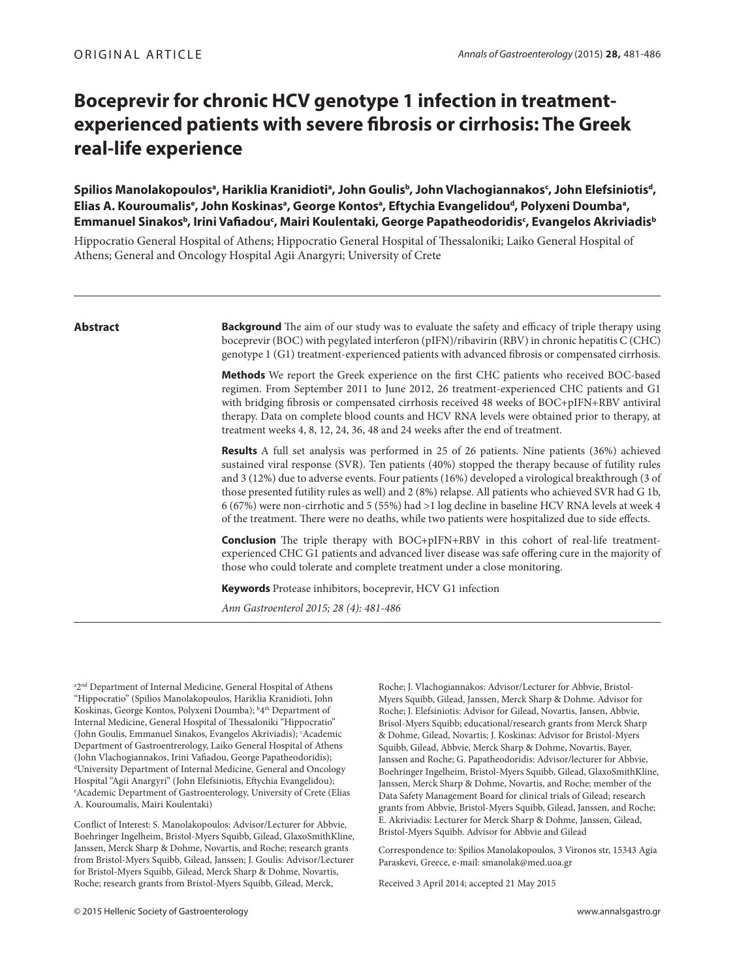# **Boceprevir for chronic HCV genotype 1 infection in treatmentexperienced patients with severe fibrosis or cirrhosis: The Greek real-life experience**

Spilios Manolakopoulosª, Hariklia Kranidiotiª, John Goulisb, John Vlachogiannakos<sup>c</sup>, John Elefsiniotis<sup>d</sup>, Elias A. Kouroumalis<sup>e</sup>, John Koskinasª, George Kontosª, Eftychia Evangelidou<sup>d</sup>, Polyxeni Doumbaª, **Emmanuel Sinakosb , Ιrini Vafi adouc , Mairi Koulentaki, George Papatheodoridisc , Evangelos Akriviadisb**

Hippocratio General Hospital of Athens; Hippocratio General Hospital of Thessaloniki; Laiko General Hospital of Athens; General and Oncology Hospital Agii Anargyri; University of Crete

## **Abstract**

**Background** The aim of our study was to evaluate the safety and efficacy of triple therapy using boceprevir (BOC) with pegylated interferon (pIFN)/ribavirin (RBV) in chronic hepatitis C (CHC) genotype 1 (G1) treatment-experienced patients with advanced fibrosis or compensated cirrhosis.

**Methods** We report the Greek experience on the first CHC patients who received BOC-based regimen. From September 2011 to June 2012, 26 treatment-experienced CHC patients and G1 with bridging fibrosis or compensated cirrhosis received 48 weeks of BOC+pIFN+RBV antiviral therapy. Data on complete blood counts and HCV RNA levels were obtained prior to therapy, at treatment weeks 4, 8, 12, 24, 36, 48 and 24 weeks after the end of treatment.

**Results** A full set analysis was performed in 25 of 26 patients. Nine patients (36%) achieved sustained viral response (SVR). Ten patients (40%) stopped the therapy because of futility rules and 3 (12%) due to adverse events. Four patients (16%) developed a virological breakthrough (3 of those presented futility rules as well) and 2 (8%) relapse. All patients who achieved SVR had G 1b, 6 (67%) were non-cirrhotic and 5 (55%) had >1 log decline in baseline HCV RNA levels at week 4 of the treatment. There were no deaths, while two patients were hospitalized due to side effects.

**Conclusion** The triple therapy with BOC+pIFN+RBV in this cohort of real-life treatmentexperienced CHC G1 patients and advanced liver disease was safe offering cure in the majority of those who could tolerate and complete treatment under a close monitoring.

**Keywords** Protease inhibitors, boceprevir, HCV G1 infection

Ann Gastroenterol 2015; 28 (4): 481-486

a<sub>2<sup>nd</sup></sub> Department of Internal Medicine, General Hospital of Athens "Hippocratio" (Spilios Manolakopoulos, Hariklia Kranidioti, John Koskinas, George Kontos, Polyxeni Doumba); <sup>b</sup>4<sup>th</sup> Department of Internal Medicine, General Hospital of Thessaloniki "Hippocratio" (John Goulis, Emmanuel Sinakos, Evangelos Akriviadis); c Academic Department of Gastroentrerology, Laiko General Hospital of Athens (John Vlachogiannakos, Irini Vafiadou, George Papatheodoridis); University Department of Internal Medicine, General and Oncology Hospital "Agii Anargyri" (John Elefsiniotis, Eftychia Evangelidou); Academic Department of Gastroenterology, University of Crete (Elias A. Kouroumalis, Mairi Koulentaki)

Conflict of Interest: S. Manolakopoulos: Advisor/Lecturer for Abbvie, Boehringer Ingelheim, Bristol-Myers Squibb, Gilead, GlaxoSmithKline, Janssen, Merck Sharp & Dohme, Novartis, and Roche; research grants from Bristol-Myers Squibb, Gilead, Janssen; J. Goulis: Advisor/Lecturer for Bristol-Myers Squibb, Gilead, Merck Sharp & Dohme, Novartis, Roche; research grants from Bristol-Myers Squibb, Gilead, Μerck,

Roche; J. Vlachogiannakos: Advisor/Lecturer for Abbvie, Bristol-Myers Squibb, Gilead, Janssen, Merck Sharp & Dohme. Advisor for Roche; J. Elefsiniotis: Advisor for Gilead, Novartis, Jansen, Abbvie, Brisol-Myers Squibb; educational/research grants from Merck Sharp & Dohme, Gilead, Novartis; J. Koskinas: Advisor for Bristol-Myers Squibb, Gilead, Abbvie, Merck Sharp & Dohme, Novartis, Bayer, Janssen and Roche; G. Papatheodoridis: Advisor/lecturer for Abbvie, Boehringer Ingelheim, Bristol-Myers Squibb, Gilead, GlaxoSmithKline, Janssen, Merck Sharp & Dohme, Novartis, and Roche; member of the Data Safety Management Board for clinical trials of Gilead; research grants from Abbvie, Bristol-Myers Squibb, Gilead, Janssen, and Roche; E. Akriviadis: Lecturer for Merck Sharp & Dohme, Janssen, Gilead, Bristol-Myers Squibb. Advisor for Abbvie and Gilead

Correspondence to: Spilios Manolakopoulos, 3 Vironos str, 15343 Agia Paraskevi, Greece, e-mail: smanolak@med.uoa.gr

Received 3 April 2014; accepted 21 May 2015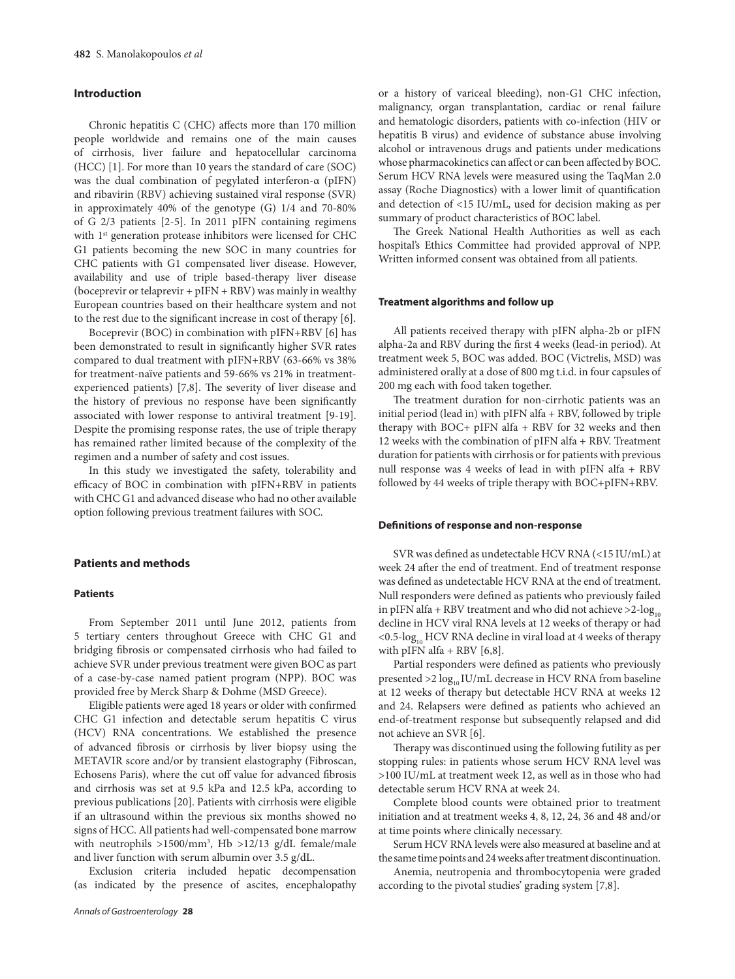# **Introduction**

Chronic hepatitis C (CHC) affects more than 170 million people worldwide and remains one of the main causes of cirrhosis, liver failure and hepatocellular carcinoma (HCC) [1]. For more than 10 years the standard of care (SOC) was the dual combination of pegylated interferon-α (pIFN) and ribavirin (RBV) achieving sustained viral response (SVR) in approximately 40% of the genotype (G) 1/4 and 70-80% of G 2/3 patients [2-5]. In 2011 pIFN containing regimens with 1<sup>st</sup> generation protease inhibitors were licensed for CHC G1 patients becoming the new SOC in many countries for CHC patients with G1 compensated liver disease. However, availability and use of triple based-therapy liver disease (boceprevir or telaprevir + pIFN + RBV) was mainly in wealthy European countries based on their healthcare system and not to the rest due to the significant increase in cost of therapy [6].

Boceprevir (BOC) in combination with pIFN+RBV [6] has been demonstrated to result in significantly higher SVR rates compared to dual treatment with pIFN+RBV (63-66% vs 38% for treatment-naïve patients and 59-66% vs 21% in treatmentexperienced patients) [7,8]. The severity of liver disease and the history of previous no response have been significantly associated with lower response to antiviral treatment [9-19]. Despite the promising response rates, the use of triple therapy has remained rather limited because of the complexity of the regimen and a number of safety and cost issues.

In this study we investigated the safety, tolerability and efficacy of BOC in combination with pIFN+RBV in patients with CHC G1 and advanced disease who had no other available option following previous treatment failures with SOC.

# **Patients and methods**

## **Patients**

From September 2011 until June 2012, patients from 5 tertiary centers throughout Greece with CHC G1 and bridging fibrosis or compensated cirrhosis who had failed to achieve SVR under previous treatment were given BOC as part of a case-by-case named patient program (NPP). BOC was provided free by Merck Sharp & Dohme (MSD Greece).

Eligible patients were aged 18 years or older with confirmed CHC G1 infection and detectable serum hepatitis C virus (HCV) RNA concentrations. We established the presence of advanced fibrosis or cirrhosis by liver biopsy using the METAVIR score and/or by transient elastography (Fibroscan, Echosens Paris), where the cut off value for advanced fibrosis and cirrhosis was set at 9.5 kPa and 12.5 kPa, according to previous publications [20]. Patients with cirrhosis were eligible if an ultrasound within the previous six months showed no signs of HCC. All patients had well-compensated bone marrow with neutrophils  $>1500/\text{mm}^3$ , Hb  $>12/13$  g/dL female/male and liver function with serum albumin over 3.5 g/dL.

Exclusion criteria included hepatic decompensation (as indicated by the presence of ascites, encephalopathy or a history of variceal bleeding), non-G1 CHC infection, malignancy, organ transplantation, cardiac or renal failure and hematologic disorders, patients with co-infection (HIV or hepatitis B virus) and evidence of substance abuse involving alcohol or intravenous drugs and patients under medications whose pharmacokinetics can affect or can been affected by BOC. Serum HCV RNA levels were measured using the TaqMan 2.0 assay (Roche Diagnostics) with a lower limit of quantification and detection of <15 IU/mL, used for decision making as per summary of product characteristics of BOC label.

The Greek National Health Authorities as well as each hospital's Ethics Committee had provided approval of NPP. Written informed consent was obtained from all patients.

## **Treatment algorithms and follow up**

All patients received therapy with pIFN alpha-2b or pIFN alpha-2a and RBV during the first 4 weeks (lead-in period). At treatment week 5, BOC was added. BOC (Victrelis, MSD) was administered orally at a dose of 800 mg t.i.d. in four capsules of 200 mg each with food taken together.

The treatment duration for non-cirrhotic patients was an initial period (lead in) with pIFN alfa + RBV, followed by triple therapy with BOC+ pIFN alfa + RBV for 32 weeks and then 12 weeks with the combination of pIFN alfa + RBV. Treatment duration for patients with cirrhosis or for patients with previous null response was 4 weeks of lead in with pIFN alfa + RBV followed by 44 weeks of triple therapy with BOC+pIFN+RBV.

#### **Defi nitions of response and non-response**

SVR was defined as undetectable HCV RNA (<15 IU/mL) at week 24 after the end of treatment. End of treatment response was defined as undetectable HCV RNA at the end of treatment. Null responders were defined as patients who previously failed in pIFN alfa + RBV treatment and who did not achieve  $>2$ -log<sub>10</sub> decline in HCV viral RNA levels at 12 weeks of therapy or had  $<$  0.5-log<sub>10</sub> HCV RNA decline in viral load at 4 weeks of therapy with pIFN alfa  $+$  RBV [6,8].

Partial responders were defined as patients who previously presented  $>$ 2 log<sub>10</sub> IU/mL decrease in HCV RNA from baseline at 12 weeks of therapy but detectable HCV RNA at weeks 12 and 24. Relapsers were defined as patients who achieved an end-of-treatment response but subsequently relapsed and did not achieve an SVR [6].

Therapy was discontinued using the following futility as per stopping rules: in patients whose serum HCV RNA level was >100 IU/mL at treatment week 12, as well as in those who had detectable serum HCV RNA at week 24.

Complete blood counts were obtained prior to treatment initiation and at treatment weeks 4, 8, 12, 24, 36 and 48 and/or at time points where clinically necessary.

Serum HCV RNA levels were also measured at baseline and at the same time points and 24 weeks after treatment discontinuation.

Anemia, neutropenia and thrombocytopenia were graded according to the pivotal studies' grading system [7,8].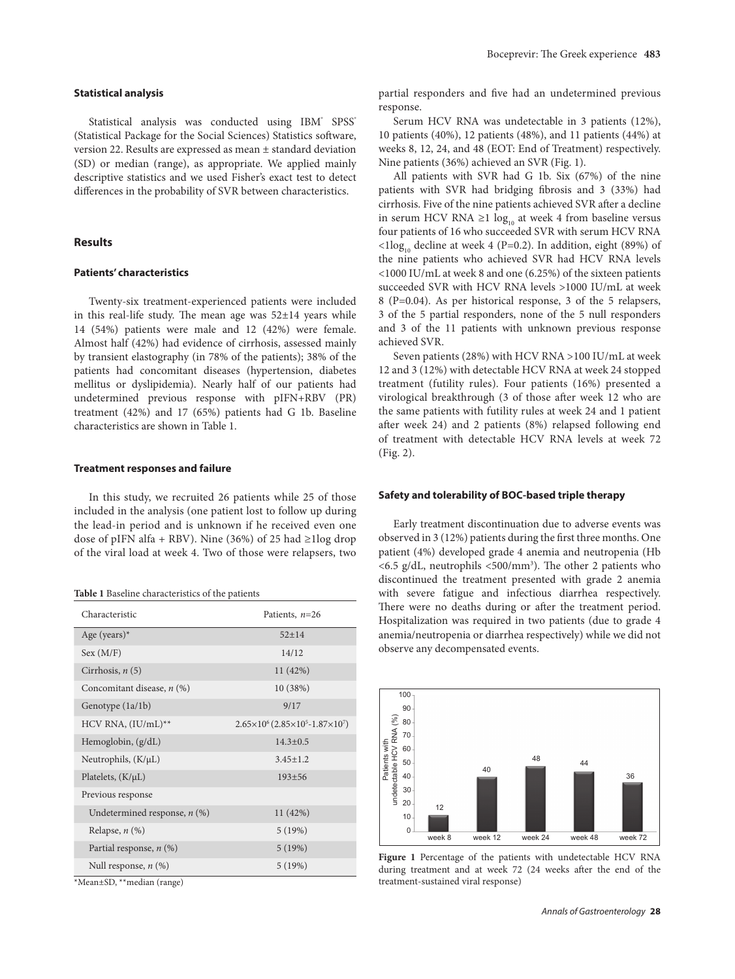### **Statistical analysis**

Statistical analysis was conducted using IBM<sup>®</sup> SPSS<sup>®</sup> (Statistical Package for the Social Sciences) Statistics software, version 22. Results are expressed as mean ± standard deviation (SD) or median (range), as appropriate. We applied mainly descriptive statistics and we used Fisher's exact test to detect differences in the probability of SVR between characteristics.

# **Results**

#### **Patients' characteristics**

Twenty-six treatment-experienced patients were included in this real-life study. The mean age was  $52\pm14$  years while 14 (54%) patients were male and 12 (42%) were female. Almost half (42%) had evidence of cirrhosis, assessed mainly by transient elastography (in 78% of the patients); 38% of the patients had concomitant diseases (hypertension, diabetes mellitus or dyslipidemia). Nearly half of our patients had undetermined previous response with pIFN+RBV (PR) treatment (42%) and 17 (65%) patients had G 1b. Baseline characteristics are shown in Table 1.

#### **Treatment responses and failure**

In this study, we recruited 26 patients while 25 of those included in the analysis (one patient lost to follow up during the lead-in period and is unknown if he received even one dose of pIFN alfa + RBV). Nine (36%) of 25 had ≥1log drop of the viral load at week 4. Two of those were relapsers, two

**Table 1** Baseline characteristics of the patients

| Characteristic                 | Patients, $n=26$                                               |
|--------------------------------|----------------------------------------------------------------|
| Age (years) $*$                | $52 + 14$                                                      |
| Sex (M/F)                      | 14/12                                                          |
| Cirrhosis, $n(5)$              | 11 (42%)                                                       |
| Concomitant disease, n (%)     | 10 (38%)                                                       |
| Genotype (1a/1b)               | 9/17                                                           |
| HCV RNA, $(IU/mL)^{**}$        | $2.65\times10^{6}$ (2.85 $\times10^{5}$ -1.87 $\times10^{7}$ ) |
| Hemoglobin, (g/dL)             | $14.3 + 0.5$                                                   |
| Neutrophils, $(K/\mu L)$       | $3.45 + 1.2$                                                   |
| Platelets, $(K/\mu L)$         | $193 + 56$                                                     |
| Previous response              |                                                                |
| Undetermined response, $n$ (%) | 11 (42%)                                                       |
| Relapse, $n$ $(\%)$            | 5(19%)                                                         |
| Partial response, $n$ (%)      | 5(19%)                                                         |
| Null response, $n$ $(\%)$      | 5(19%)                                                         |

\*Mean±SD, \*\*median (range)

partial responders and five had an undetermined previous response.

Serum HCV RNA was undetectable in 3 patients (12%), 10 patients (40%), 12 patients (48%), and 11 patients (44%) at weeks 8, 12, 24, and 48 (EOT: End of Treatment) respectively. Nine patients (36%) achieved an SVR (Fig. 1).

All patients with SVR had G 1b. Six (67%) of the nine patients with SVR had bridging fibrosis and 3 (33%) had cirrhosis. Five of the nine patients achieved SVR after a decline in serum HCV RNA ≥1  $log_{10}$  at week 4 from baseline versus four patients of 16 who succeeded SVR with serum HCV RNA  $\langle 1 \log_{10}$  decline at week 4 (P=0.2). In addition, eight (89%) of the nine patients who achieved SVR had HCV RNA levels <1000 IU/mL at week 8 and one (6.25%) of the sixteen patients succeeded SVR with HCV RNA levels >1000 IU/mL at week 8 (P=0.04). As per historical response, 3 of the 5 relapsers, 3 of the 5 partial responders, none of the 5 null responders and 3 of the 11 patients with unknown previous response achieved SVR.

Seven patients (28%) with HCV RNA >100 IU/mL at week 12 and 3 (12%) with detectable HCV RNA at week 24 stopped treatment (futility rules). Four patients (16%) presented a virological breakthrough (3 of those after week 12 who are the same patients with futility rules at week 24 and 1 patient after week 24) and 2 patients (8%) relapsed following end of treatment with detectable HCV RNA levels at week 72 (Fig. 2).

#### **Safety and tolerability of BOC-based triple therapy**

Early treatment discontinuation due to adverse events was observed in  $3(12%)$  patients during the first three months. One patient (4%) developed grade 4 anemia and neutropenia (Hb  $<$  6.5 g/dL, neutrophils  $<$  500/mm<sup>3</sup>). The other 2 patients who discontinued the treatment presented with grade 2 anemia with severe fatigue and infectious diarrhea respectively. There were no deaths during or after the treatment period. Hospitalization was required in two patients (due to grade 4 anemia/neutropenia or diarrhea respectively) while we did not observe any decompensated events.



**Figure 1** Percentage of the patients with undetectable HCV RNA during treatment and at week 72 (24 weeks after the end of the treatment-sustained viral response)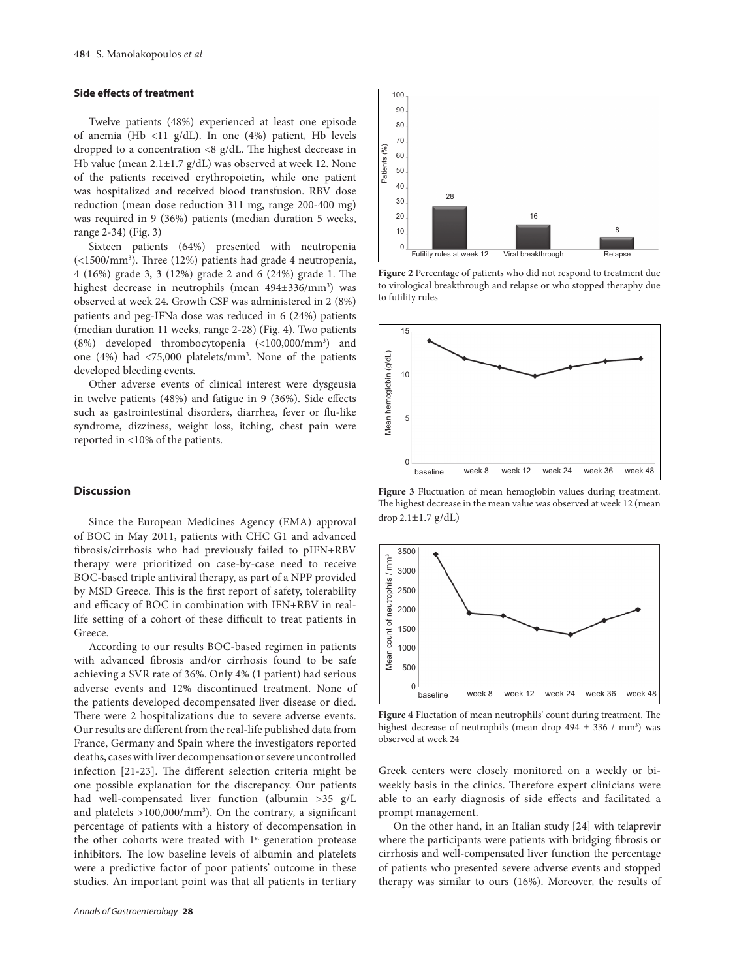#### **Side effects of treatment**

Twelve patients (48%) experienced at least one episode of anemia (Hb <11 g/dL). In one (4%) patient, Hb levels dropped to a concentration  $\langle 8 \text{ g/dL} \rangle$ . The highest decrease in Hb value (mean 2.1±1.7 g/dL) was observed at week 12. None of the patients received erythropoietin, while one patient was hospitalized and received blood transfusion. RBV dose reduction (mean dose reduction 311 mg, range 200-400 mg) was required in 9 (36%) patients (median duration 5 weeks, range 2-34) (Fig. 3)

Sixteen patients (64%) presented with neutropenia (<1500/mm<sup>3</sup>). Three (12%) patients had grade 4 neutropenia, 4 (16%) grade 3, 3 (12%) grade 2 and 6 (24%) grade 1. The highest decrease in neutrophils (mean 494±336/mm<sup>3</sup>) was observed at week 24. Growth CSF was administered in 2 (8%) patients and peg-IFNa dose was reduced in 6 (24%) patients (median duration 11 weeks, range 2-28) (Fig. 4). Two patients (8%) developed thrombocytopenia (<100,000/mm3 ) and one (4%) had <75,000 platelets/mm3 . None of the patients developed bleeding events.

Other adverse events of clinical interest were dysgeusia in twelve patients  $(48%)$  and fatigue in 9  $(36%)$ . Side effects such as gastrointestinal disorders, diarrhea, fever or flu-like syndrome, dizziness, weight loss, itching, chest pain were reported in <10% of the patients.

# **Discussion**

Since the European Medicines Agency (EMA) approval of BOC in May 2011, patients with CHC G1 and advanced fibrosis/cirrhosis who had previously failed to pIFN+RBV therapy were prioritized on case-by-case need to receive BOC-based triple antiviral therapy, as part of a NPP provided by MSD Greece. This is the first report of safety, tolerability and efficacy of BOC in combination with IFN+RBV in reallife setting of a cohort of these difficult to treat patients in Greece.

According to our results BOC-based regimen in patients with advanced fibrosis and/or cirrhosis found to be safe achieving a SVR rate of 36%. Only 4% (1 patient) had serious adverse events and 12% discontinued treatment. None of the patients developed decompensated liver disease or died. There were 2 hospitalizations due to severe adverse events. Our results are different from the real-life published data from France, Germany and Spain where the investigators reported deaths, cases with liver decompensation or severe uncontrolled infection [21-23]. The different selection criteria might be one possible explanation for the discrepancy. Our patients had well-compensated liver function (albumin >35 g/L and platelets  $>100,000/mm$ <sup>3</sup>). On the contrary, a significant percentage of patients with a history of decompensation in the other cohorts were treated with 1<sup>st</sup> generation protease inhibitors. The low baseline levels of albumin and platelets were a predictive factor of poor patients' outcome in these studies. An important point was that all patients in tertiary



**Figure 2** Percentage of patients who did not respond to treatment due to virological breakthrough and relapse or who stopped theraphy due to futility rules



**Figure 3** Fluctuation of mean hemoglobin values during treatment. The highest decrease in the mean value was observed at week 12 (mean drop  $2.1 \pm 1.7$  g/dL)



Figure 4 Fluctation of mean neutrophils' count during treatment. The highest decrease of neutrophils (mean drop  $494 \pm 336$  / mm<sup>3</sup>) was observed at week 24

Greek centers were closely monitored on a weekly or biweekly basis in the clinics. Therefore expert clinicians were able to an early diagnosis of side effects and facilitated a prompt management.

On the other hand, in an Italian study [24] with telaprevir where the participants were patients with bridging fibrosis or cirrhosis and well-compensated liver function the percentage of patients who presented severe adverse events and stopped therapy was similar to ours (16%). Moreover, the results of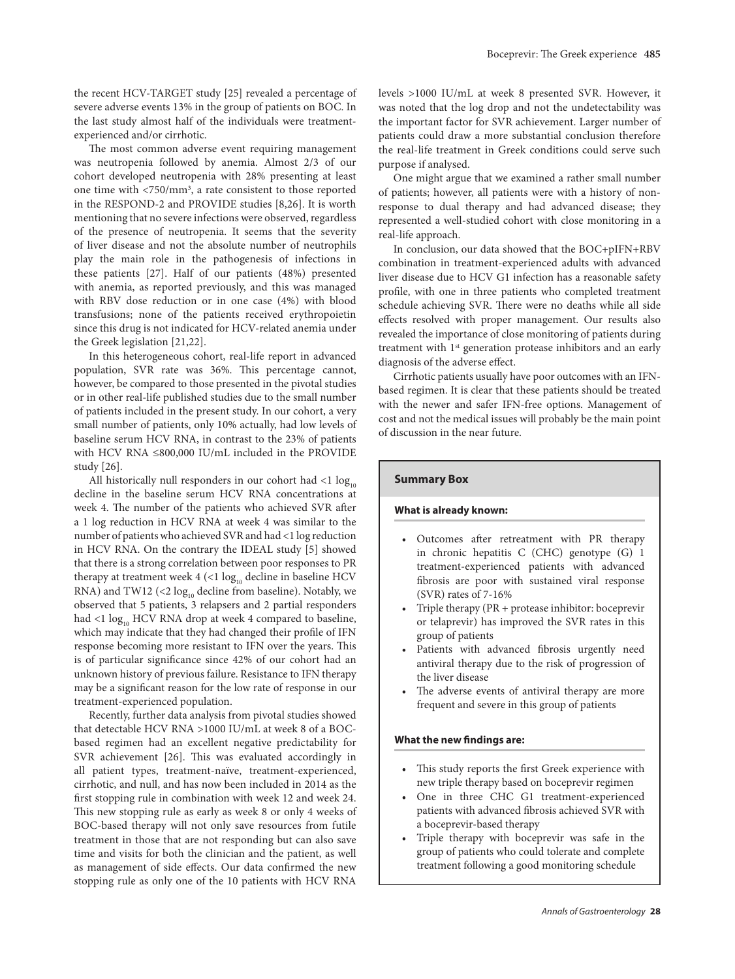the recent HCV-TARGET study [25] revealed a percentage of severe adverse events 13% in the group of patients on BOC. In the last study almost half of the individuals were treatmentexperienced and/or cirrhotic.

The most common adverse event requiring management was neutropenia followed by anemia. Almost 2/3 of our cohort developed neutropenia with 28% presenting at least one time with <750/mm3 , a rate consistent to those reported in the RESPOND-2 and PROVIDE studies [8,26]. It is worth mentioning that no severe infections were observed, regardless of the presence of neutropenia. It seems that the severity of liver disease and not the absolute number of neutrophils play the main role in the pathogenesis of infections in these patients [27]. Half of our patients (48%) presented with anemia, as reported previously, and this was managed with RBV dose reduction or in one case (4%) with blood transfusions; none of the patients received erythropoietin since this drug is not indicated for HCV-related anemia under the Greek legislation [21,22].

In this heterogeneous cohort, real-life report in advanced population, SVR rate was 36%. This percentage cannot, however, be compared to those presented in the pivotal studies or in other real-life published studies due to the small number of patients included in the present study. In our cohort, a very small number of patients, only 10% actually, had low levels of baseline serum HCV RNA, in contrast to the 23% of patients with HCV RNA ≤800,000 IU/mL included in the PROVIDE study [26].

All historically null responders in our cohort had  $\lt 1$  log<sub>10</sub> decline in the baseline serum HCV RNA concentrations at week 4. The number of the patients who achieved SVR after a 1 log reduction in HCV RNA at week 4 was similar to the number of patients who achieved SVR and had <1 log reduction in HCV RNA. On the contrary the IDEAL study [5] showed that there is a strong correlation between poor responses to PR therapy at treatment week  $4$  (<1  $\log_{10}$  decline in baseline HCV RNA) and TW12 (<2  $\log_{10}$  decline from baseline). Notably, we observed that 5 patients, 3 relapsers and 2 partial responders had <1  $\log_{10}$  HCV RNA drop at week 4 compared to baseline, which may indicate that they had changed their profile of IFN response becoming more resistant to IFN over the years. This is of particular significance since 42% of our cohort had an unknown history of previous failure. Resistance to IFN therapy may be a significant reason for the low rate of response in our treatment-experienced population.

Recently, further data analysis from pivotal studies showed that detectable HCV RNA >1000 IU/mL at week 8 of a BOCbased regimen had an excellent negative predictability for SVR achievement [26]. This was evaluated accordingly in all patient types, treatment-naïve, treatment-experienced, cirrhotic, and null, and has now been included in 2014 as the first stopping rule in combination with week 12 and week 24. This new stopping rule as early as week 8 or only 4 weeks of BOC-based therapy will not only save resources from futile treatment in those that are not responding but can also save time and visits for both the clinician and the patient, as well as management of side effects. Our data confirmed the new stopping rule as only one of the 10 patients with HCV RNA

levels >1000 IU/mL at week 8 presented SVR. However, it was noted that the log drop and not the undetectability was the important factor for SVR achievement. Larger number of patients could draw a more substantial conclusion therefore the real-life treatment in Greek conditions could serve such purpose if analysed.

One might argue that we examined a rather small number of patients; however, all patients were with a history of nonresponse to dual therapy and had advanced disease; they represented a well-studied cohort with close monitoring in a real-life approach.

In conclusion, our data showed that the BOC+pIFN+RBV combination in treatment-experienced adults with advanced liver disease due to HCV G1 infection has a reasonable safety profile, with one in three patients who completed treatment schedule achieving SVR. There were no deaths while all side effects resolved with proper management. Our results also revealed the importance of close monitoring of patients during treatment with 1<sup>st</sup> generation protease inhibitors and an early diagnosis of the adverse effect.

Cirrhotic patients usually have poor outcomes with an IFNbased regimen. It is clear that these patients should be treated with the newer and safer IFN-free options. Management of cost and not the medical issues will probably be the main point of discussion in the near future.

#### **Summary Box**

## **What is already known:**

- Outcomes after retreatment with PR therapy in chronic hepatitis C (CHC) genotype (G) 1 treatment-experienced patients with advanced fibrosis are poor with sustained viral response (SVR) rates of 7-16%
- Triple therapy (PR + protease inhibitor: boceprevir or telaprevir) has improved the SVR rates in this group of patients
- Patients with advanced fibrosis urgently need antiviral therapy due to the risk of progression of the liver disease
- The adverse events of antiviral therapy are more frequent and severe in this group of patients

## **What the new findings are:**

- This study reports the first Greek experience with new triple therapy based on boceprevir regimen
- One in three CHC G1 treatment-experienced patients with advanced fibrosis achieved SVR with a boceprevir-based therapy
- Triple therapy with boceprevir was safe in the group of patients who could tolerate and complete treatment following a good monitoring schedule